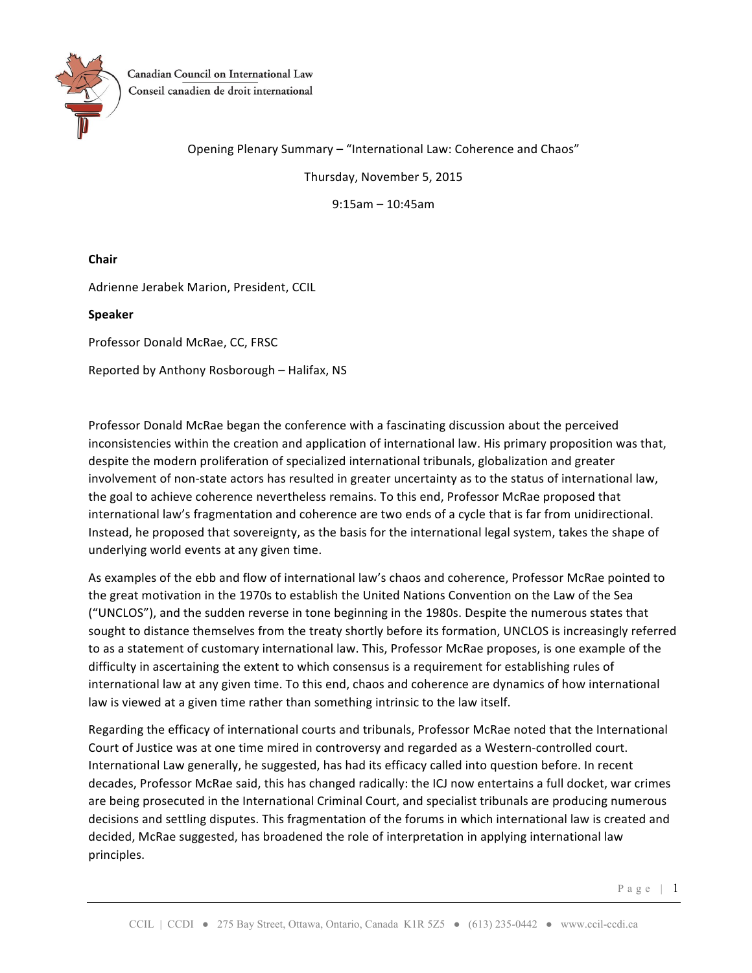

Canadian Council on International Law Conseil canadien de droit international

Opening Plenary Summary - "International Law: Coherence and Chaos"

Thursday, November 5, 2015

9:15am – 10:45am

**Chair**

Adrienne Jerabek Marion, President, CCIL

**Speaker**

Professor Donald McRae, CC, FRSC

Reported by Anthony Rosborough – Halifax, NS

Professor Donald McRae began the conference with a fascinating discussion about the perceived inconsistencies within the creation and application of international law. His primary proposition was that, despite the modern proliferation of specialized international tribunals, globalization and greater involvement of non-state actors has resulted in greater uncertainty as to the status of international law, the goal to achieve coherence nevertheless remains. To this end, Professor McRae proposed that international law's fragmentation and coherence are two ends of a cycle that is far from unidirectional. Instead, he proposed that sovereignty, as the basis for the international legal system, takes the shape of underlying world events at any given time.

As examples of the ebb and flow of international law's chaos and coherence, Professor McRae pointed to the great motivation in the 1970s to establish the United Nations Convention on the Law of the Sea ("UNCLOS"), and the sudden reverse in tone beginning in the 1980s. Despite the numerous states that sought to distance themselves from the treaty shortly before its formation, UNCLOS is increasingly referred to as a statement of customary international law. This, Professor McRae proposes, is one example of the difficulty in ascertaining the extent to which consensus is a requirement for establishing rules of international law at any given time. To this end, chaos and coherence are dynamics of how international law is viewed at a given time rather than something intrinsic to the law itself.

Regarding the efficacy of international courts and tribunals, Professor McRae noted that the International Court of Justice was at one time mired in controversy and regarded as a Western-controlled court. International Law generally, he suggested, has had its efficacy called into question before. In recent decades, Professor McRae said, this has changed radically: the ICJ now entertains a full docket, war crimes are being prosecuted in the International Criminal Court, and specialist tribunals are producing numerous decisions and settling disputes. This fragmentation of the forums in which international law is created and decided, McRae suggested, has broadened the role of interpretation in applying international law principles.

Page | 1